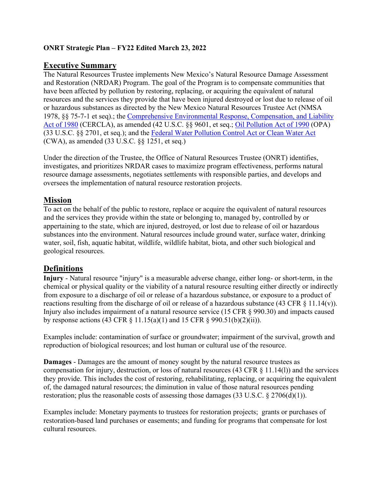## **ONRT Strategic Plan – FY22 Edited March 23, 2022**

## **Executive Summary**

The Natural Resources Trustee implements New Mexico's Natural Resource Damage Assessment and Restoration (NRDAR) Program. The goal of the Program is to compensate communities that have been affected by pollution by restoring, replacing, or acquiring the equivalent of natural resources and the services they provide that have been injured destroyed or lost due to release of oil or hazardous substances as directed by the New Mexico Natural Resources Trustee Act (NMSA 1978, §§ 75-7-1 et seq).; the [Comprehensive Environmental Response, Compensation, and Liability](https://www.law.cornell.edu/uscode/text/42/9601)  [Act of 1980](https://www.law.cornell.edu/uscode/text/42/9601) (CERCLA), as amended (42 U.S.C. §§ 9601, et seq.; [Oil Pollution Act of 1990](https://www.law.cornell.edu/uscode/text/33/2701) (OPA) (33 U.S.C. §§ 2701, et seq.); and the [Federal Water Pollution Control Act or Clean Water Act](https://www.law.cornell.edu/uscode/text/33/1251) (CWA), as amended (33 U.S.C. §§ 1251, et seq.)

Under the direction of the Trustee, the Office of Natural Resources Trustee (ONRT) identifies, investigates, and prioritizes NRDAR cases to maximize program effectiveness, performs natural resource damage assessments, negotiates settlements with responsible parties, and develops and oversees the implementation of natural resource restoration projects.

## **Mission**

To act on the behalf of the public to restore, replace or acquire the equivalent of natural resources and the services they provide within the state or belonging to, managed by, controlled by or appertaining to the state, which are injured, destroyed, or lost due to release of oil or hazardous substances into the environment. Natural resources include ground water, surface water, drinking water, soil, fish, aquatic habitat, wildlife, wildlife habitat, biota, and other such biological and geological resources.

# **Definitions**

**Injury** - Natural resource "injury" is a measurable adverse change, either long- or short-term, in the chemical or physical quality or the viability of a natural resource resulting either directly or indirectly from exposure to a discharge of oil or release of a hazardous substance, or exposure to a product of reactions resulting from the discharge of oil or release of a hazardous substance (43 CFR § 11.14(v)). Injury also includes impairment of a natural resource service (15 CFR § 990.30) and impacts caused by response actions (43 CFR  $\S$  11.15(a)(1) and 15 CFR  $\S$  990.51(b)(2)(ii)).

Examples include: contamination of surface or groundwater; impairment of the survival, growth and reproduction of biological resources; and lost human or cultural use of the resource.

**Damages** - Damages are the amount of money sought by the natural resource trustees as compensation for injury, destruction, or loss of natural resources (43 CFR § 11.14(l)) and the services they provide. This includes the cost of restoring, rehabilitating, replacing, or acquiring the equivalent of, the damaged natural resources; the diminution in value of those natural resources pending restoration; plus the reasonable costs of assessing those damages  $(33 \text{ U.S.C.} \S 2706(d)(1))$ .

Examples include: Monetary payments to trustees for restoration projects; grants or purchases of restoration-based land purchases or easements; and funding for programs that compensate for lost cultural resources.